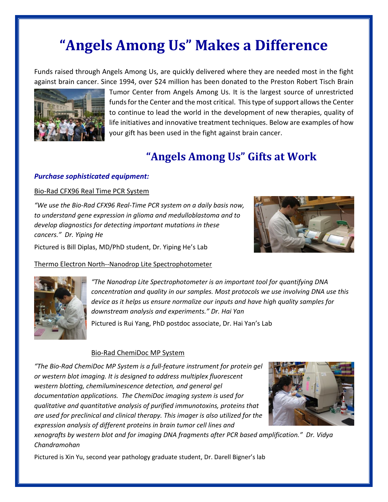# **"Angels Among Us" Makes a Difference**

Funds raised through Angels Among Us, are quickly delivered where they are needed most in the fight against brain cancer. Since 1994, over \$24 million has been donated to the Preston Robert Tisch Brain



Tumor Center from Angels Among Us. It is the largest source of unrestricted funds for the Center and the most critical. This type of support allows the Center to continue to lead the world in the development of new therapies, quality of life initiatives and innovative treatment techniques. Below are examples of how your gift has been used in the fight against brain cancer.

## **"Angels Among Us" Gifts at Work**

#### *Purchase sophisticated equipment:*

#### Bio-Rad CFX96 Real Time PCR System

*"We use the Bio-Rad CFX96 Real-Time PCR system on a daily basis now, to understand gene expression in glioma and medulloblastoma and to develop diagnostics for detecting important mutations in these cancers." Dr. Yiping He*

Pictured is Bill Diplas, MD/PhD student, Dr. Yiping He's Lab







*"The Nanodrop Lite Spectrophotometer is an important tool for quantifying DNA concentration and quality in our samples. Most protocols we use involving DNA use this device as it helps us ensure normalize our inputs and have high quality samples for downstream analysis and experiments." Dr. Hai Yan*

Pictured is Rui Yang, PhD postdoc associate, Dr. Hai Yan's Lab

#### Bio-Rad ChemiDoc MP System

*"The Bio-Rad ChemiDoc MP System is a full-feature instrument for protein gel or western blot imaging. It is designed to address multiplex fluorescent western blotting, chemiluminescence detection, and general gel documentation applications. The ChemiDoc imaging system is used for qualitative and quantitative analysis of purified immunotoxins, proteins that are used for preclinical and clinical therapy. This imager is also utilized for the expression analysis of different proteins in brain tumor cell lines and* 



*xenografts by western blot and for imaging DNA fragments after PCR based amplification." Dr. Vidya Chandramohan*

Pictured is Xin Yu, second year pathology graduate student, Dr. Darell Bigner's lab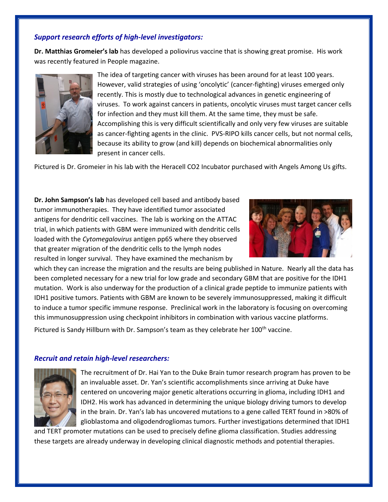#### *Support research efforts of high-level investigators:*

**Dr. Matthias Gromeier's lab** has developed a poliovirus vaccine that is showing great promise. His work was recently featured in People magazine.



The idea of targeting cancer with viruses has been around for at least 100 years. However, valid strategies of using 'oncolytic' (cancer-fighting) viruses emerged only recently. This is mostly due to technological advances in genetic engineering of viruses. To work against cancers in patients, oncolytic viruses must target cancer cells for infection and they must kill them. At the same time, they must be safe. Accomplishing this is very difficult scientifically and only very few viruses are suitable as cancer-fighting agents in the clinic. PVS-RIPO kills cancer cells, but not normal cells, because its ability to grow (and kill) depends on biochemical abnormalities only present in cancer cells.

Pictured is Dr. Gromeier in his lab with the Heracell CO2 Incubator purchased with Angels Among Us gifts.

**Dr. John Sampson's lab** has developed cell based and antibody based tumor immunotherapies. They have identified tumor associated antigens for dendritic cell vaccines. The lab is working on the ATTAC trial, in which patients with GBM were immunized with dendritic cells loaded with the *Cytomegalovirus* antigen pp65 where they observed that greater migration of the dendritic cells to the lymph nodes resulted in longer survival. They have examined the mechanism by



which they can increase the migration and the results are being published in Nature. Nearly all the data has been completed necessary for a new trial for low grade and secondary GBM that are positive for the IDH1 mutation. Work is also underway for the production of a clinical grade peptide to immunize patients with IDH1 positive tumors. Patients with GBM are known to be severely immunosuppressed, making it difficult to induce a tumor specific immune response. Preclinical work in the laboratory is focusing on overcoming this immunosuppression using checkpoint inhibitors in combination with various vaccine platforms. Pictured is Sandy Hillburn with Dr. Sampson's team as they celebrate her 100<sup>th</sup> vaccine.

#### *Recruit and retain high-level researchers:*



The recruitment of Dr. Hai Yan to the Duke Brain tumor research program has proven to be an invaluable asset. Dr. Yan's scientific accomplishments since arriving at Duke have centered on uncovering major genetic alterations occurring in glioma, including IDH1 and IDH2. His work has advanced in determining the unique biology driving tumors to develop in the brain. Dr. Yan's lab has uncovered mutations to a gene called TERT found in >80% of glioblastoma and oligodendrogliomas tumors. Further investigations determined that IDH1

and TERT promoter mutations can be used to precisely define glioma classification. Studies addressing these targets are already underway in developing clinical diagnostic methods and potential therapies.